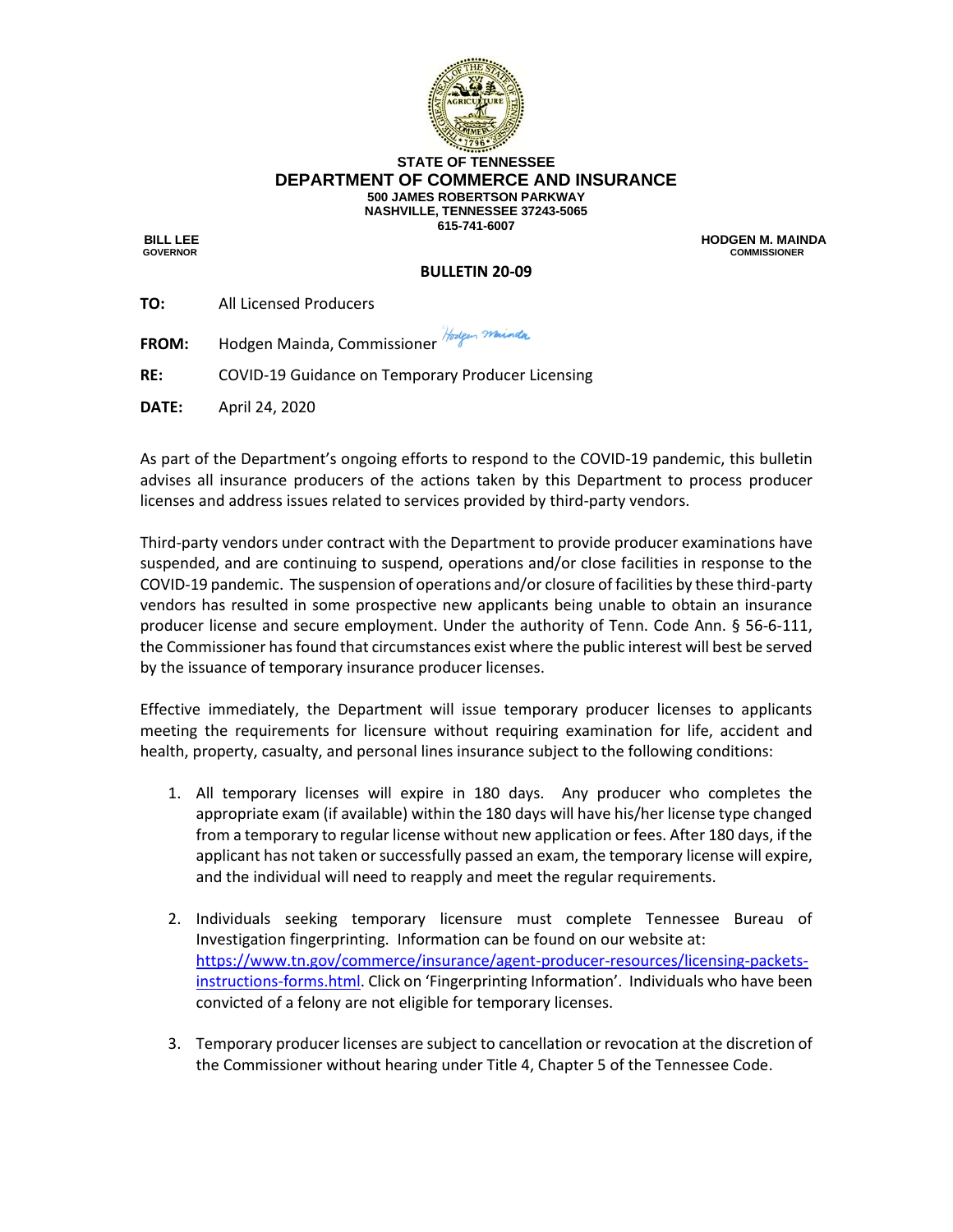

## **STATE OF TENNESSEE DEPARTMENT OF COMMERCE AND INSURANCE 500 JAMES ROBERTSON PARKWAY NASHVILLE, TENNESSEE 37243-5065 615-741-6007**

 **BILL LEE HODGEN M. MAINDA GOVERNOR COMMISSIONER**

## **BULLETIN 20-09**

| TO:          | All Licensed Producers      |
|--------------|-----------------------------|
| <b>FROM:</b> | Hodgen Mainda, Commissioner |

**RE:** COVID-19 Guidance on Temporary Producer Licensing

**DATE:** April 24, 2020

As part of the Department's ongoing efforts to respond to the COVID-19 pandemic, this bulletin advises all insurance producers of the actions taken by this Department to process producer licenses and address issues related to services provided by third-party vendors.

Third-party vendors under contract with the Department to provide producer examinations have suspended, and are continuing to suspend, operations and/or close facilities in response to the COVID-19 pandemic. The suspension of operations and/or closure of facilities by these third-party vendors has resulted in some prospective new applicants being unable to obtain an insurance producer license and secure employment. Under the authority of Tenn. Code Ann. § 56-6-111, the Commissioner has found that circumstances exist where the public interest will best be served by the issuance of temporary insurance producer licenses.

Effective immediately, the Department will issue temporary producer licenses to applicants meeting the requirements for licensure without requiring examination for life, accident and health, property, casualty, and personal lines insurance subject to the following conditions:

- 1. All temporary licenses will expire in 180 days. Any producer who completes the appropriate exam (if available) within the 180 days will have his/her license type changed from a temporary to regular license without new application or fees. After 180 days, if the applicant has not taken or successfully passed an exam, the temporary license will expire, and the individual will need to reapply and meet the regular requirements.
- 2. Individuals seeking temporary licensure must complete Tennessee Bureau of Investigation fingerprinting. Information can be found on our website at: [https://www.tn.gov/commerce/insurance/agent-producer-resources/licensing-packets](https://www.tn.gov/commerce/insurance/agent-producer-resources/licensing-packets-instructions-forms.html)[instructions-forms.html](https://www.tn.gov/commerce/insurance/agent-producer-resources/licensing-packets-instructions-forms.html). Click on 'Fingerprinting Information'. Individuals who have been convicted of a felony are not eligible for temporary licenses.
- 3. Temporary producer licenses are subject to cancellation or revocation at the discretion of the Commissioner without hearing under Title 4, Chapter 5 of the Tennessee Code.